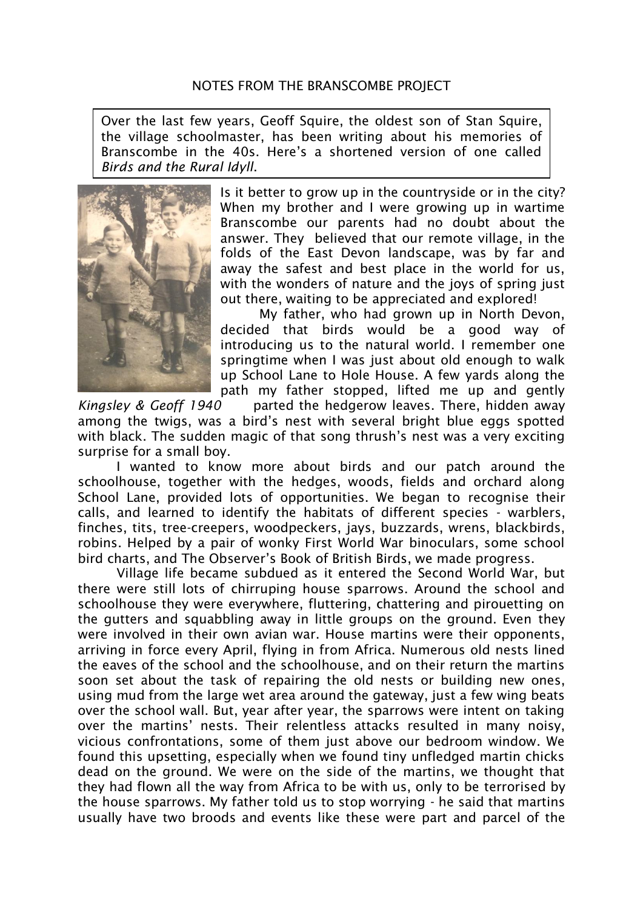Over the last few years, Geoff Squire, the oldest son of Stan Squire, the village schoolmaster, has been writing about his memories of Branscombe in the 40s. Here's a shortened version of one called *Birds and the Rural Idyll*.



Is it better to grow up in the countryside or in the city? When my brother and I were growing up in wartime Branscombe our parents had no doubt about the answer. They believed that our remote village, in the folds of the East Devon landscape, was by far and away the safest and best place in the world for us, with the wonders of nature and the joys of spring just out there, waiting to be appreciated and explored!

My father, who had grown up in North Devon, decided that birds would be a good way of introducing us to the natural world. I remember one springtime when I was just about old enough to walk up School Lane to Hole House. A few yards along the path my father stopped, lifted me up and gently

*Kingsley & Geoff 1940* parted the hedgerow leaves. There, hidden away among the twigs, was a bird's nest with several bright blue eggs spotted with black. The sudden magic of that song thrush's nest was a very exciting surprise for a small boy.

I wanted to know more about birds and our patch around the schoolhouse, together with the hedges, woods, fields and orchard along School Lane, provided lots of opportunities. We began to recognise their calls, and learned to identify the habitats of different species - warblers, finches, tits, tree-creepers, woodpeckers, jays, buzzards, wrens, blackbirds, robins. Helped by a pair of wonky First World War binoculars, some school bird charts, and The Observer's Book of British Birds, we made progress.

Village life became subdued as it entered the Second World War, but there were still lots of chirruping house sparrows. Around the school and schoolhouse they were everywhere, fluttering, chattering and pirouetting on the gutters and squabbling away in little groups on the ground. Even they were involved in their own avian war. House martins were their opponents, arriving in force every April, flying in from Africa. Numerous old nests lined the eaves of the school and the schoolhouse, and on their return the martins soon set about the task of repairing the old nests or building new ones, using mud from the large wet area around the gateway, just a few wing beats over the school wall. But, year after year, the sparrows were intent on taking over the martins' nests. Their relentless attacks resulted in many noisy, vicious confrontations, some of them just above our bedroom window. We found this upsetting, especially when we found tiny unfledged martin chicks dead on the ground. We were on the side of the martins, we thought that they had flown all the way from Africa to be with us, only to be terrorised by the house sparrows. My father told us to stop worrying - he said that martins usually have two broods and events like these were part and parcel of the